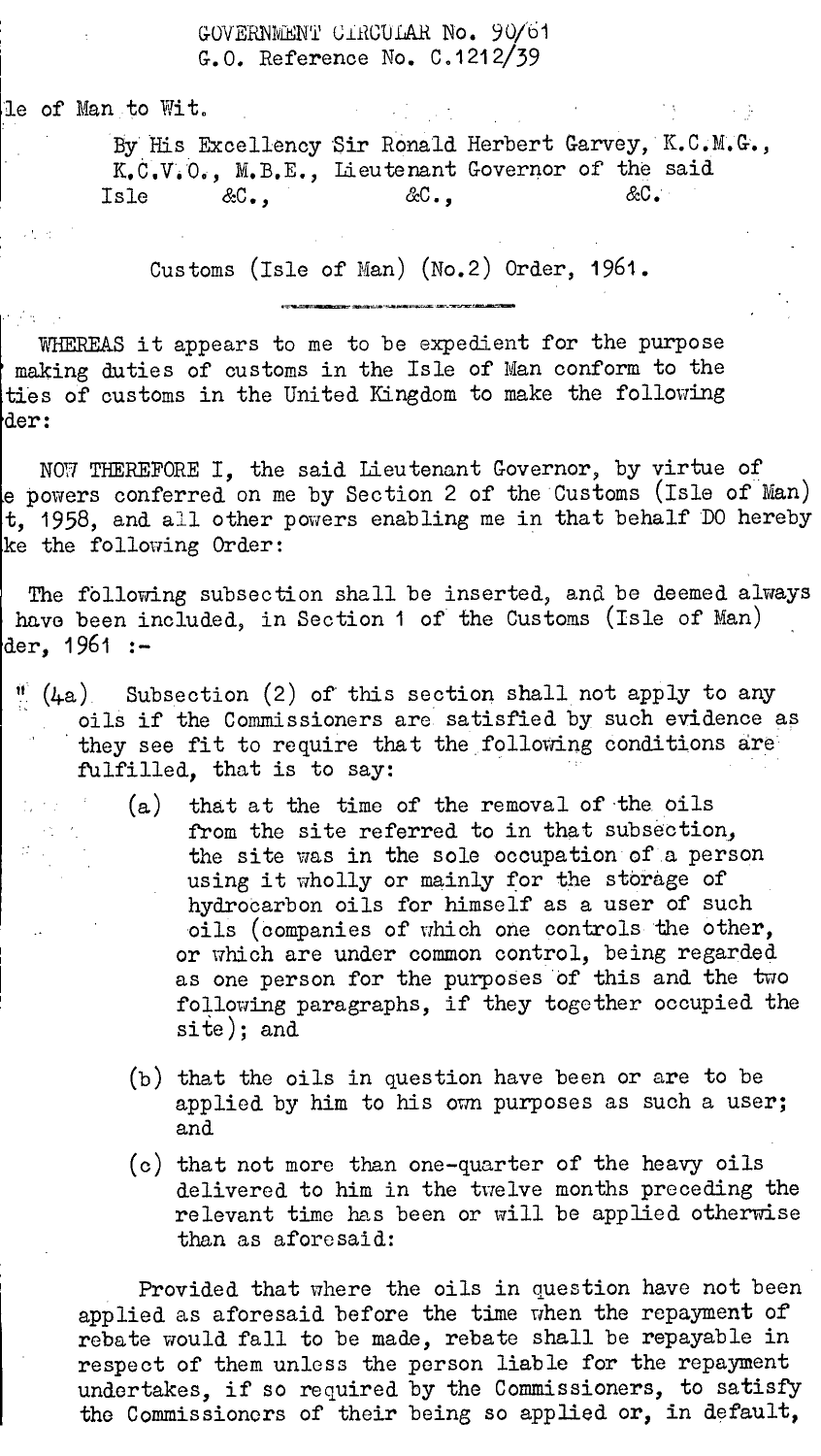## GOVERNMENT UIROULAR No. 90/61 G.O. Reference No. C.1212/39

le of Man to Wit.

By His Excellency Sir Ronald Herbert Garvey, K.C.M.G., K.C.V.O., M.B.E., Lieutenant Governor of the said Isle &C., &C., &C.'

Customs (Isle of Man) (No.2) Order, 1961.

WHEREAS it appears to me to be expedient for the purpose making duties of customs in the Isle of Man conform to the ties of customs in the United Kingdom to make the following der:

NOW THEREFORE I, the said Lieutenant Governor, by virtue of e powers conferred on me by Section 2 of the Customs (Isle of Man) t, 1958, and all other powers enabling me in that behalf DO hereby ke the following Order:

The following subsection shall be inserted, and be deemed always have been included, in Section 1 of the Customs (Isle of Man) der, 1961 :-

- $\frac{1}{11}$  (4a) Subsection (2) of this section shall not apply to any oils if the Commissioners are satisfied by such evidence as they see fit to require that the following conditions are fulfilled, that is to say:
	- (a) that at the time of the removal of the oils from the site referred to in that subsection, the site was in the sole occupation of a person using it wholly or mainly for the storage of hydrocarbon oils for himself as a user of such oils (companies of which one controls the other, or which are under common control, being regarded as one person for the purposes of this and the two following paragraphs, if they together occupied the site); and
	- (b) that the oils in question have been or are to be applied by him to his own purposes as such a user; and
	- (c) that not more than one-quarter of the heavy oils delivered to him in the twelve months preceding the relevant time has been or will be applied otherwise than as aforesaid:

Provided that where the oils in question have not been applied as aforesaid before the time when the repayment of rebate would fall to be made, rebate shall be repayable in respect of them unless the person liable for the repayment undertakes, if so required by the Commissioners, to satisfy the Commissioners of their being so applied or, in default,